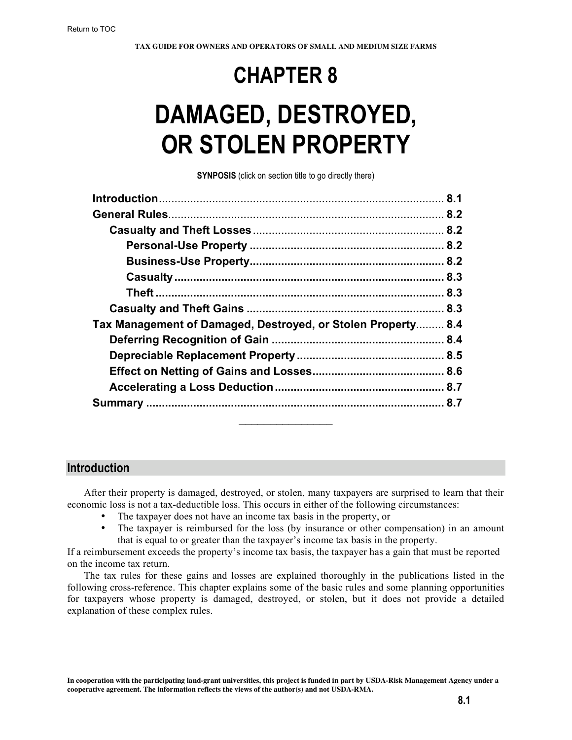# **CHAPTER 8**

# **DAMAGED, DESTROYED, OR STOLEN PROPERTY**

**SYNPOSIS** (click on section title to go directly there)

| Tax Management of Damaged, Destroyed, or Stolen Property 8.4 |  |
|--------------------------------------------------------------|--|
|                                                              |  |
|                                                              |  |
|                                                              |  |
|                                                              |  |
|                                                              |  |

# **Introduction**

After their property is damaged, destroyed, or stolen, many taxpayers are surprised to learn that their economic loss is not a tax-deductible loss. This occurs in either of the following circumstances:

 $\frac{1}{2}$ 

- The taxpayer does not have an income tax basis in the property, or<br>• The taxpayer is reimbursed for the loss (by insurance or other co
- The taxpayer is reimbursed for the loss (by insurance or other compensation) in an amount that is equal to or greater than the taxpayer's income tax basis in the property.

If a reimbursement exceeds the property's income tax basis, the taxpayer has a gain that must be reported on the income tax return.

The tax rules for these gains and losses are explained thoroughly in the publications listed in the following cross-reference. This chapter explains some of the basic rules and some planning opportunities for taxpayers whose property is damaged, destroyed, or stolen, but it does not provide a detailed explanation of these complex rules.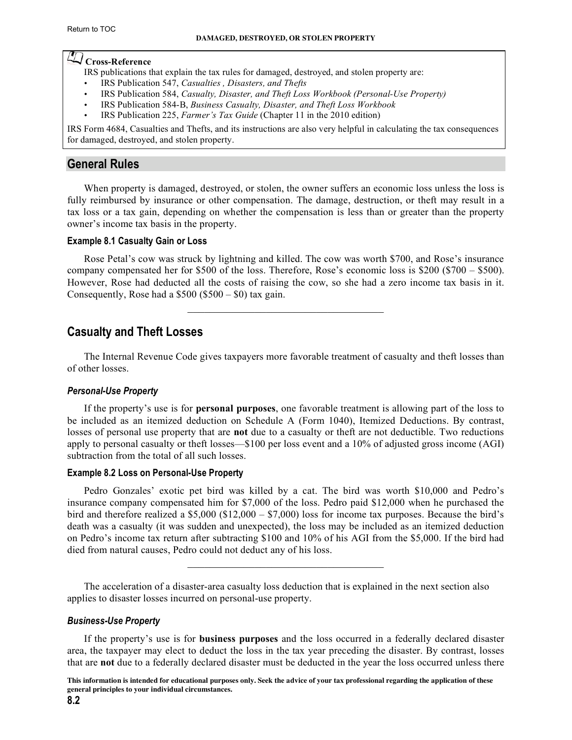# <span id="page-1-0"></span>**Cross-Reference**

IRS publications that explain the tax rules for damaged, destroyed, and stolen property are:

- IRS Publication 547, *[Casualties , Disasters, and Thefts](http://www.irs.gov/pub/irs-pdf/p547.pdf)*
- IRS Publication 584, *[Casualty, Disaster, and Theft Loss Workbook \(Personal-U](http://www.irs.gov/pub/irs-pdf/p584.pdf)se Property)*
- IRS Publication 584-B, *[Business Casualty, Disaster, and Theft Loss Workbook](http://www.irs.gov/pub/irs-pdf/p584b.pdf)*
- IRS Publication 225, *Farmer's Tax Guide* [\(Chapter 11 in the 2010 edition\)](http://www.irs.gov/pub/irs-pdf/p225.pdf)

IRS Form 4684, Casualties and Thefts, and its instructions are also very helpful in calculating the tax consequences for damaged, destroyed, and stolen property.

# **General Rules**

When property is damaged, destroyed, or stolen, the owner suffers an economic loss unless the loss is fully reimbursed by insurance or other compensation. The damage, destruction, or theft may result in a tax loss or a tax gain, depending on whether the compensation is less than or greater than the property owner's income tax basis in the property.

#### **Example 8.1 Casualty Gain or Loss**

Rose Petal's cow was struck by lightning and killed. The cow was worth \$700, and Rose's insurance company compensated her for \$500 of the loss. Therefore, Rose's economic loss is \$200 (\$700 – \$500). However, Rose had deducted all the costs of raising the cow, so she had a zero income tax basis in it. Consequently, Rose had a  $$500 ($500 - $0)$  tax gain.

 $\mathcal{L}_\text{max}$  , and the set of the set of the set of the set of the set of the set of the set of the set of the set of the set of the set of the set of the set of the set of the set of the set of the set of the set of the

# **Casualty and Theft Losses**

The Internal Revenue Code gives taxpayers more favorable treatment of casualty and theft losses than of other losses.

# *Personal-Use Property*

If the property's use is for **personal purposes**, one favorable treatment is allowing part of the loss to be included as an itemized deduction on Schedule A (Form 1040), Itemized Deductions. By contrast, losses of personal use property that are **not** due to a casualty or theft are not deductible. Two reductions apply to personal casualty or theft losses—\$100 per loss event and a 10% of adjusted gross income (AGI) subtraction from the total of all such losses.

# **Example 8.2 Loss on Personal-Use Property**

Pedro Gonzales' exotic pet bird was killed by a cat. The bird was worth \$10,000 and Pedro's insurance company compensated him for \$7,000 of the loss. Pedro paid \$12,000 when he purchased the bird and therefore realized a \$5,000 (\$12,000 – \$7,000) loss for income tax purposes. Because the bird's death was a casualty (it was sudden and unexpected), the loss may be included as an itemized deduction on Pedro's income tax return after subtracting \$100 and 10% of his AGI from the \$5,000. If the bird had died from natural causes, Pedro could not deduct any of his loss.

 $\mathcal{L}_\text{max}$ 

The acceleration of a disaster-area casualty loss deduction that is explained in the next section also applies to disaster losses incurred on personal-use property.

# *Business-Use Property*

If the property's use is for **business purposes** and the loss occurred in a federally declared disaster area, the taxpayer may elect to deduct the loss in the tax year preceding the disaster. By contrast, losses that are **not** due to a federally declared disaster must be deducted in the year the loss occurred unless there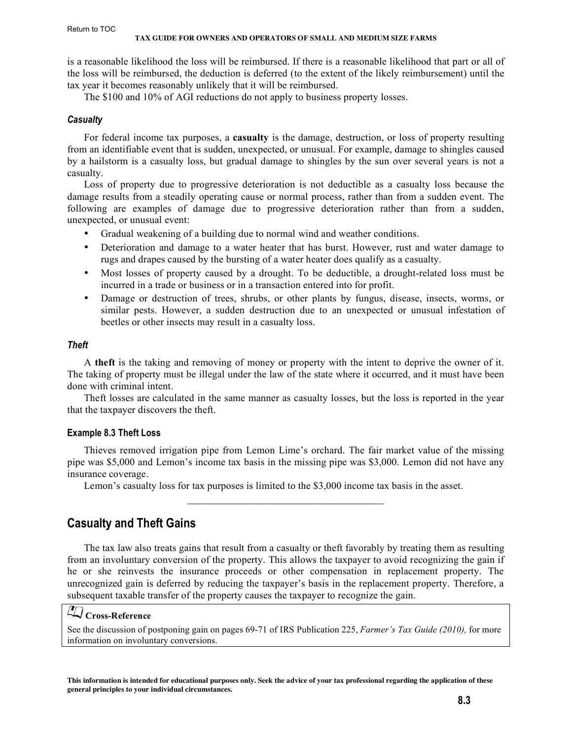<span id="page-2-0"></span>is a reasonable likelihood the loss will be reimbursed. If there is a reasonable likelihood that part or all of the loss will be reimbursed, the deduction is deferred (to the extent of the likely reimbursement) until the tax year it becomes reasonably unlikely that it will be reimbursed.

The \$100 and 10% of AGI reductions do not apply to business property losses.

#### *Casualty*

For federal income tax purposes, a **casualty** is the damage, destruction, or loss of property resulting from an identifiable event that is sudden, unexpected, or unusual. For example, damage to shingles caused by a hailstorm is a casualty loss, but gradual damage to shingles by the sun over several years is not a casualty.

Loss of property due to progressive deterioration is not deductible as a casualty loss because the damage results from a steadily operating cause or normal process, rather than from a sudden event. The following are examples of damage due to progressive deterioration rather than from a sudden, unexpected, or unusual event:

- Gradual weakening of a building due to normal wind and weather conditions.
- Deterioration and damage to a water heater that has burst. However, rust and water damage to rugs and drapes caused by the bursting of a water heater does qualify as a casualty.
- Most losses of property caused by a drought. To be deductible, a drought-related loss must be incurred in a trade or business or in a transaction entered into for profit.
- Damage or destruction of trees, shrubs, or other plants by fungus, disease, insects, worms, or similar pests. However, a sudden destruction due to an unexpected or unusual infestation of beetles or other insects may result in a casualty loss.

# *Theft*

A **theft** is the taking and removing of money or property with the intent to deprive the owner of it. The taking of property must be illegal under the law of the state where it occurred, and it must have been done with criminal intent.

Theft losses are calculated in the same manner as casualty losses, but the loss is reported in the year that the taxpayer discovers the theft.

# **Example 8.3 Theft Loss**

Thieves removed irrigation pipe from Lemon Lime's orchard. The fair market value of the missing pipe was \$5,000 and Lemon's income tax basis in the missing pipe was \$3,000. Lemon did not have any insurance coverage.

 $\mathcal{L}_\text{max}$  , and the set of the set of the set of the set of the set of the set of the set of the set of the set of the set of the set of the set of the set of the set of the set of the set of the set of the set of the

Lemon's casualty loss for tax purposes is limited to the \$3,000 income tax basis in the asset.

# **Casualty and Theft Gains**

The tax law also treats gains that result from a casualty or theft favorably by treating them as resulting from an involuntary conversion of the property. This allows the taxpayer to avoid recognizing the gain if he or she reinvests the insurance proceeds or other compensation in replacement property. The unrecognized gain is deferred by reducing the taxpayer's basis in the replacement property. Therefore, a subsequent taxable transfer of the property causes the taxpayer to recognize the gain.

# **Cross-Reference**

[See the discussion of postponing gain on pages 69-71 of IRS Publication 225,](http://www.irs.gov/pub/irs-pdf/p225.pdf) *Farmer's Tax Guide (2010),* for more information on involuntary conversions.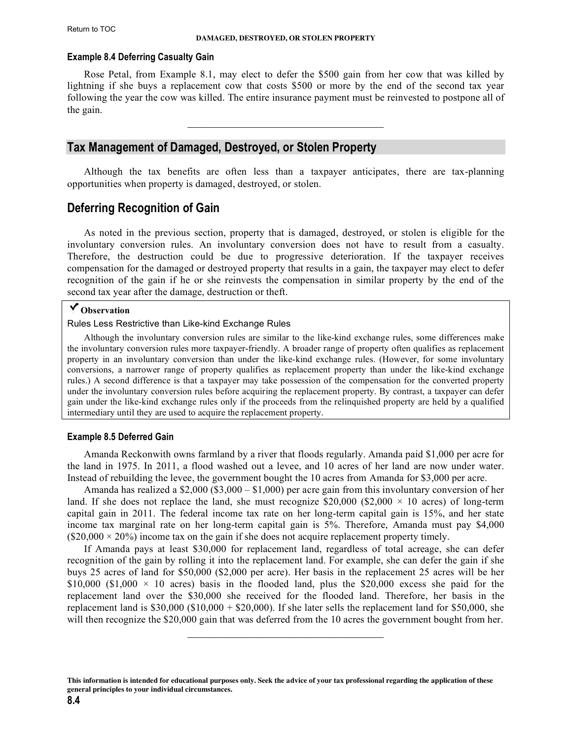#### <span id="page-3-0"></span>**Example 8.4 Deferring Casualty Gain**

Rose Petal, from Example 8.1, may elect to defer the \$500 gain from her cow that was killed by lightning if she buys a replacement cow that costs \$500 or more by the end of the second tax year following the year the cow was killed. The entire insurance payment must be reinvested to postpone all of the gain.

 $\mathcal{L}_\text{max}$  , and the set of the set of the set of the set of the set of the set of the set of the set of the set of the set of the set of the set of the set of the set of the set of the set of the set of the set of the

# **Tax Management of Damaged, Destroyed, or Stolen Property**

Although the tax benefits are often less than a taxpayer anticipates, there are tax-planning opportunities when property is damaged, destroyed, or stolen.

# **Deferring Recognition of Gain**

As noted in the previous section, property that is damaged, destroyed, or stolen is eligible for the involuntary conversion rules. An involuntary conversion does not have to result from a casualty. Therefore, the destruction could be due to progressive deterioration. If the taxpayer receives compensation for the damaged or destroyed property that results in a gain, the taxpayer may elect to defer recognition of the gain if he or she reinvests the compensation in similar property by the end of the second tax year after the damage, destruction or theft.

# **Observation**

Rules Less Restrictive than Like-kind Exchange Rules

Although the involuntary conversion rules are similar to the like-kind exchange rules, some differences make the involuntary conversion rules more taxpayer-friendly. A broader range of property often qualifies as replacement property in an involuntary conversion than under the like-kind exchange rules. (However, for some involuntary conversions, a narrower range of property qualifies as replacement property than under the like-kind exchange rules.) A second difference is that a taxpayer may take possession of the compensation for the converted property under the involuntary conversion rules before acquiring the replacement property. By contrast, a taxpayer can defer gain under the like-kind exchange rules only if the proceeds from the relinquished property are held by a qualified intermediary until they are used to acquire the replacement property.

#### **Example 8.5 Deferred Gain**

Amanda Reckonwith owns farmland by a river that floods regularly. Amanda paid \$1,000 per acre for the land in 1975. In 2011, a flood washed out a levee, and 10 acres of her land are now under water. Instead of rebuilding the levee, the government bought the 10 acres from Amanda for \$3,000 per acre.

Amanda has realized a \$2,000 (\$3,000 – \$1,000) per acre gain from this involuntary conversion of her land. If she does not replace the land, she must recognize \$20,000 (\$2,000  $\times$  10 acres) of long-term capital gain in 2011. The federal income tax rate on her long-term capital gain is 15%, and her state income tax marginal rate on her long-term capital gain is 5%. Therefore, Amanda must pay \$4,000  $(S20,000 \times 20\%)$  income tax on the gain if she does not acquire replacement property timely.

If Amanda pays at least \$30,000 for replacement land, regardless of total acreage, she can defer recognition of the gain by rolling it into the replacement land. For example, she can defer the gain if she buys 25 acres of land for \$50,000 (\$2,000 per acre). Her basis in the replacement 25 acres will be her \$10,000 (\$1,000  $\times$  10 acres) basis in the flooded land, plus the \$20,000 excess she paid for the replacement land over the \$30,000 she received for the flooded land. Therefore, her basis in the replacement land is  $$30,000$  ( $$10,000 + $20,000$ ). If she later sells the replacement land for  $$50,000$ , she will then recognize the \$20,000 gain that was deferred from the 10 acres the government bought from her.

 $\mathcal{L}_\text{max}$  , and the set of the set of the set of the set of the set of the set of the set of the set of the set of the set of the set of the set of the set of the set of the set of the set of the set of the set of the

**This information is intended for educational purposes only. Seek the advice of your tax professional regarding the application of these general principles to your individual circumstances.**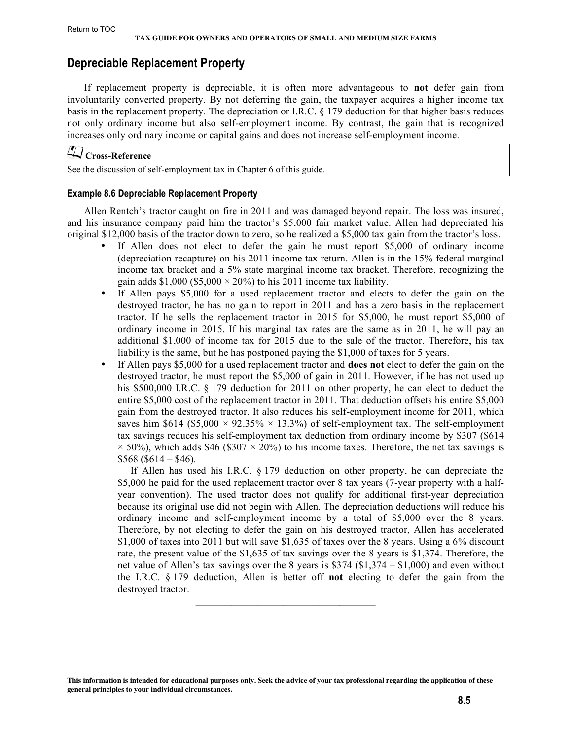# <span id="page-4-0"></span>**Depreciable Replacement Property**

If replacement property is depreciable, it is often more advantageous to **not** defer gain from involuntarily converted property. By not deferring the gain, the taxpayer acquires a higher income tax basis in the replacement property. The depreciation or I.R.C. § 179 deduction for that higher basis reduces not only ordinary income but also self-employment income. By contrast, the gain that is recognized increases only ordinary income or capital gains and does not increase self-employment income.

# **Cross-Reference**

See the discussion of self-employment tax in Chapter 6 of this guide.

#### **Example 8.6 Depreciable Replacement Property**

Allen Rentch's tractor caught on fire in 2011 and was damaged beyond repair. The loss was insured, and his insurance company paid him the tractor's \$5,000 fair market value. Allen had depreciated his original \$12,000 basis of the tractor down to zero, so he realized a \$5,000 tax gain from the tractor's loss.

- If Allen does not elect to defer the gain he must report  $$5,000$  of ordinary income (depreciation recapture) on his 2011 income tax return. Allen is in the 15% federal marginal income tax bracket and a 5% state marginal income tax bracket. Therefore, recognizing the gain adds \$1,000 (\$5,000  $\times$  20%) to his 2011 income tax liability.
- If Allen pays \$5,000 for a used replacement tractor and elects to defer the gain on the destroyed tractor, he has no gain to report in 2011 and has a zero basis in the replacement tractor. If he sells the replacement tractor in 2015 for \$5,000, he must report \$5,000 of ordinary income in 2015. If his marginal tax rates are the same as in 2011, he will pay an additional \$1,000 of income tax for 2015 due to the sale of the tractor. Therefore, his tax liability is the same, but he has postponed paying the \$1,000 of taxes for 5 years.
- If Allen pays \$5,000 for a used replacement tractor and **does not** elect to defer the gain on the destroyed tractor, he must report the \$5,000 of gain in 2011. However, if he has not used up his \$500,000 I.R.C. § 179 deduction for 2011 on other property, he can elect to deduct the entire \$5,000 cost of the replacement tractor in 2011. That deduction offsets his entire \$5,000 gain from the destroyed tractor. It also reduces his self-employment income for 2011, which saves him \$614 (\$5,000  $\times$  92.35%  $\times$  13.3%) of self-employment tax. The self-employment tax savings reduces his self-employment tax deduction from ordinary income by \$307 (\$614  $\times$  50%), which adds \$46 (\$307  $\times$  20%) to his income taxes. Therefore, the net tax savings is  $$568 ($614 - $46).$

 If Allen has used his I.R.C. § 179 deduction on other property, he can depreciate the \$5,000 he paid for the used replacement tractor over 8 tax years (7-year property with a halfyear convention). The used tractor does not qualify for additional first-year depreciation because its original use did not begin with Allen. The depreciation deductions will reduce his ordinary income and self-employment income by a total of \$5,000 over the 8 years. Therefore, by not electing to defer the gain on his destroyed tractor, Allen has accelerated \$1,000 of taxes into 2011 but will save \$1,635 of taxes over the 8 years. Using a 6% discount rate, the present value of the \$1,635 of tax savings over the 8 years is \$1,374. Therefore, the net value of Allen's tax savings over the 8 years is \$374 (\$1,374 – \$1,000) and even without the I.R.C. § 179 deduction, Allen is better off **not** electing to defer the gain from the destroyed tractor.

 $\mathcal{L}_\text{max}$  and the set of the set of the set of the set of the set of the set of the set of the set of the set of the set of the set of the set of the set of the set of the set of the set of the set of the set of the s

**This information is intended for educational purposes only. Seek the advice of your tax professional regarding the application of these general principles to your individual circumstances.**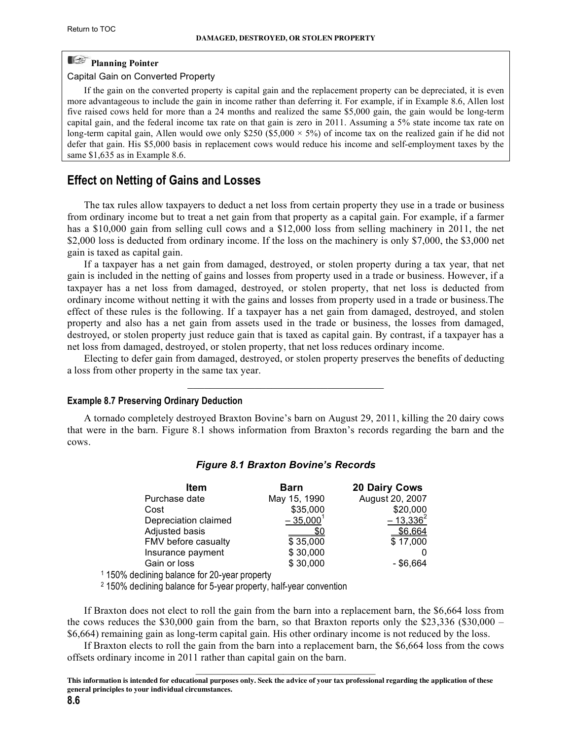# <span id="page-5-0"></span>**Planning Pointer**

#### Capital Gain on Converted Property

If the gain on the converted property is capital gain and the replacement property can be depreciated, it is even more advantageous to include the gain in income rather than deferring it. For example, if in Example 8.6, Allen lost five raised cows held for more than a 24 months and realized the same \$5,000 gain, the gain would be long-term capital gain, and the federal income tax rate on that gain is zero in 2011. Assuming a 5% state income tax rate on long-term capital gain, Allen would owe only \$250 (\$5,000  $\times$  5%) of income tax on the realized gain if he did not defer that gain. His \$5,000 basis in replacement cows would reduce his income and self-employment taxes by the same \$1,635 as in Example 8.6.

# **Effect on Netting of Gains and Losses**

The tax rules allow taxpayers to deduct a net loss from certain property they use in a trade or business from ordinary income but to treat a net gain from that property as a capital gain. For example, if a farmer has a \$10,000 gain from selling cull cows and a \$12,000 loss from selling machinery in 2011, the net \$2,000 loss is deducted from ordinary income. If the loss on the machinery is only \$7,000, the \$3,000 net gain is taxed as capital gain.

If a taxpayer has a net gain from damaged, destroyed, or stolen property during a tax year, that net gain is included in the netting of gains and losses from property used in a trade or business. However, if a taxpayer has a net loss from damaged, destroyed, or stolen property, that net loss is deducted from ordinary income without netting it with the gains and losses from property used in a trade or business.The effect of these rules is the following. If a taxpayer has a net gain from damaged, destroyed, and stolen property and also has a net gain from assets used in the trade or business, the losses from damaged, destroyed, or stolen property just reduce gain that is taxed as capital gain. By contrast, if a taxpayer has a net loss from damaged, destroyed, or stolen property, that net loss reduces ordinary income.

Electing to defer gain from damaged, destroyed, or stolen property preserves the benefits of deducting a loss from other property in the same tax year.

 $\mathcal{L}_\text{max}$  , and the set of the set of the set of the set of the set of the set of the set of the set of the set of the set of the set of the set of the set of the set of the set of the set of the set of the set of the

#### **Example 8.7 Preserving Ordinary Deduction**

A tornado completely destroyed Braxton Bovine's barn on August 29, 2011, killing the 20 dairy cows that were in the barn. Figure 8.1 shows information from Braxton's records regarding the barn and the cows.

| <b>Item</b>          | <b>Barn</b>  | <b>20 Dairy Cows</b> |
|----------------------|--------------|----------------------|
| Purchase date        | May 15, 1990 | August 20, 2007      |
| Cost                 | \$35,000     | \$20,000             |
| Depreciation claimed | $-35,0001$   | $-13,336^{2}$        |
| Adjusted basis       |              | \$6.664              |
| FMV before casualty  | \$35,000     | \$17,000             |
| Insurance payment    | \$30,000     |                      |
| Gain or loss         | \$30,000     | - \$6.664            |

#### *Figure 8.1 Braxton Bovine's Records*

1 150% declining balance for 20-year property

2 150% declining balance for 5-year property, half-year convention

If Braxton does not elect to roll the gain from the barn into a replacement barn, the \$6,664 loss from the cows reduces the \$30,000 gain from the barn, so that Braxton reports only the \$23,336 (\$30,000 – \$6,664) remaining gain as long-term capital gain. His other ordinary income is not reduced by the loss.

If Braxton elects to roll the gain from the barn into a replacement barn, the \$6,664 loss from the cows offsets ordinary income in 2011 rather than capital gain on the barn.  $\mathcal{L}_\text{max}$  and the set of the set of the set of the set of the set of the set of the set of the set of the set of the set of the set of the set of the set of the set of the set of the set of the set of the set of the s

**This information is intended for educational purposes only. Seek the advice of your tax professional regarding the application of these general principles to your individual circumstances.**